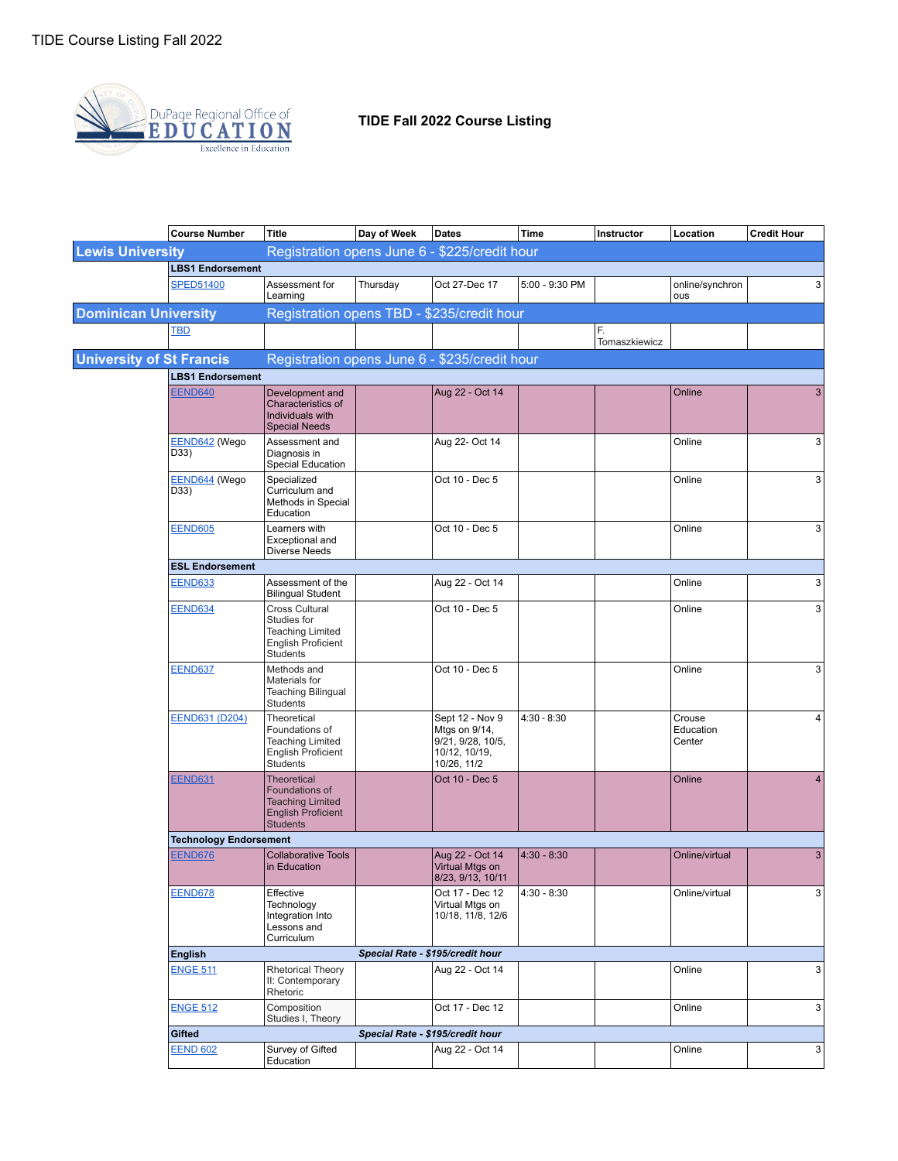

## **TIDE Fall 2022 Course Listing**

|                                 | <b>Course Number</b>          | <b>Title</b>                                                                                                    | Day of Week                      | <b>Dates</b>                                                                          | <b>Time</b>    | Instructor          | Location                      | <b>Credit Hour</b> |
|---------------------------------|-------------------------------|-----------------------------------------------------------------------------------------------------------------|----------------------------------|---------------------------------------------------------------------------------------|----------------|---------------------|-------------------------------|--------------------|
| <b>Lewis University</b>         |                               | Registration opens June 6 - \$225/credit hour                                                                   |                                  |                                                                                       |                |                     |                               |                    |
|                                 | <b>LBS1 Endorsement</b>       |                                                                                                                 |                                  |                                                                                       |                |                     |                               |                    |
|                                 | <b>SPED51400</b>              | Assessment for<br>Learning                                                                                      | Thursday                         | Oct 27-Dec 17                                                                         | 5:00 - 9:30 PM |                     | online/synchron<br>ous        | 3                  |
| <b>Dominican University</b>     |                               | Registration opens TBD - \$235/credit hour                                                                      |                                  |                                                                                       |                |                     |                               |                    |
|                                 | <b>TBD</b>                    |                                                                                                                 |                                  |                                                                                       |                | F.<br>Tomaszkiewicz |                               |                    |
| <b>University of St Francis</b> |                               | Registration opens June 6 - \$235/credit hour                                                                   |                                  |                                                                                       |                |                     |                               |                    |
|                                 | <b>LBS1 Endorsement</b>       |                                                                                                                 |                                  |                                                                                       |                |                     |                               |                    |
|                                 | <b>EEND640</b>                | Development and<br>Characteristics of<br>Individuals with<br><b>Special Needs</b>                               |                                  | Aug 22 - Oct 14                                                                       |                |                     | Online                        | 3                  |
|                                 | EEND642 (Wego<br>D33)         | Assessment and<br>Diagnosis in<br><b>Special Education</b>                                                      |                                  | Aug 22- Oct 14                                                                        |                |                     | Online                        | 3                  |
|                                 | EEND644 (Wego<br>D33)         | Specialized<br>Curriculum and<br>Methods in Special<br>Education                                                |                                  | Oct 10 - Dec 5                                                                        |                |                     | Online                        | 3                  |
|                                 | <b>EEND605</b>                | Learners with<br>Exceptional and<br><b>Diverse Needs</b>                                                        |                                  | Oct 10 - Dec 5                                                                        |                |                     | Online                        | 3                  |
|                                 | <b>ESL Endorsement</b>        |                                                                                                                 |                                  |                                                                                       |                |                     |                               |                    |
|                                 | <b>EEND633</b>                | Assessment of the<br><b>Bilingual Student</b>                                                                   |                                  | Aug 22 - Oct 14                                                                       |                |                     | Online                        | 3                  |
|                                 | <b>EEND634</b>                | Cross Cultural<br>Studies for<br><b>Teaching Limited</b><br><b>English Proficient</b><br>Students               |                                  | Oct 10 - Dec 5                                                                        |                |                     | Online                        | 3                  |
|                                 | <b>EEND637</b>                | Methods and<br>Materials for<br><b>Teaching Bilingual</b><br>Students                                           |                                  | Oct 10 - Dec 5                                                                        |                |                     | Online                        | 3                  |
|                                 | <b>EEND631 (D204)</b>         | Theoretical<br>Foundations of<br><b>Teaching Limited</b><br><b>English Proficient</b><br>Students               |                                  | Sept 12 - Nov 9<br>Mtgs on 9/14,<br>9/21, 9/28, 10/5,<br>10/12, 10/19,<br>10/26, 11/2 | $4:30 - 8:30$  |                     | Crouse<br>Education<br>Center | 4                  |
|                                 | <b>EEND631</b>                | <b>Theoretical</b><br>Foundations of<br><b>Teaching Limited</b><br><b>English Proficient</b><br><b>Students</b> |                                  | Oct 10 - Dec 5                                                                        |                |                     | Online                        | 4                  |
|                                 | <b>Technology Endorsement</b> |                                                                                                                 |                                  |                                                                                       |                |                     |                               |                    |
|                                 | <b>EEND676</b>                | <b>Collaborative Tools</b><br>in Education                                                                      |                                  | Aug 22 - Oct 14<br>Virtual Mtgs on<br>8/23, 9/13, 10/11                               | $4:30 - 8:30$  |                     | Online/virtual                | 3                  |
|                                 | <b>EEND678</b>                | Effective<br>Technology<br>Integration Into<br>Lessons and<br>Curriculum                                        |                                  | Oct 17 - Dec 12<br>Virtual Mtgs on<br>10/18, 11/8, 12/6                               | $4:30 - 8:30$  |                     | Online/virtual                | 3 <sup>1</sup>     |
|                                 | <b>English</b>                |                                                                                                                 | Special Rate - \$195/credit hour |                                                                                       |                |                     |                               |                    |
|                                 | <b>ENGE 511</b>               | <b>Rhetorical Theory</b><br>II: Contemporary<br>Rhetoric                                                        |                                  | Aug 22 - Oct 14                                                                       |                |                     | Online                        | 3                  |
|                                 | <b>ENGE 512</b>               | Composition<br>Studies I, Theory                                                                                |                                  | Oct 17 - Dec 12                                                                       |                |                     | Online                        | 3 <sup>1</sup>     |
|                                 | Gifted                        |                                                                                                                 |                                  | Special Rate - \$195/credit hour                                                      |                |                     |                               |                    |
|                                 | <b>EEND 602</b>               | Survey of Gifted<br>Education                                                                                   |                                  | Aug 22 - Oct 14                                                                       |                |                     | Online                        | $\overline{3}$     |